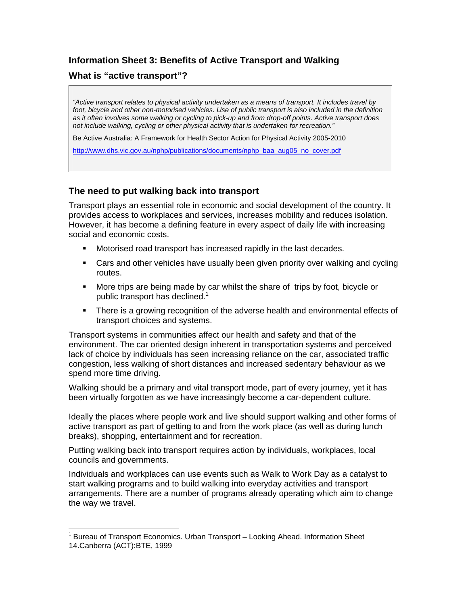# **Information Sheet 3: Benefits of Active Transport and Walking**

### **What is "active transport"?**

 $\overline{a}$ 

*"Active transport relates to physical activity undertaken as a means of transport. It includes travel by*  foot, bicycle and other non-motorised vehicles. Use of public transport is also included in the definition *as it often involves some walking or cycling to pick-up and from drop-off points. Active transport does not include walking, cycling or other physical activity that is undertaken for recreation."*

Be Active Australia: A Framework for Health Sector Action for Physical Activity 2005-2010

http://www.dhs.vic.gov.au/nphp/publications/documents/nphp\_baa\_aug05\_no\_cover.pdf

### **The need to put walking back into transport**

Transport plays an essential role in economic and social development of the country. It provides access to workplaces and services, increases mobility and reduces isolation. However, it has become a defining feature in every aspect of daily life with increasing social and economic costs.

- Motorised road transport has increased rapidly in the last decades.
- Cars and other vehicles have usually been given priority over walking and cycling routes.
- More trips are being made by car whilst the share of trips by foot, bicycle or public transport has declined. $1$
- **There is a growing recognition of the adverse health and environmental effects of** transport choices and systems.

Transport systems in communities affect our health and safety and that of the environment. The car oriented design inherent in transportation systems and perceived lack of choice by individuals has seen increasing reliance on the car, associated traffic congestion, less walking of short distances and increased sedentary behaviour as we spend more time driving.

Walking should be a primary and vital transport mode, part of every journey, yet it has been virtually forgotten as we have increasingly become a car-dependent culture.

Ideally the places where people work and live should support walking and other forms of active transport as part of getting to and from the work place (as well as during lunch breaks), shopping, entertainment and for recreation.

Putting walking back into transport requires action by individuals, workplaces, local councils and governments.

Individuals and workplaces can use events such as Walk to Work Day as a catalyst to start walking programs and to build walking into everyday activities and transport arrangements. There are a number of programs already operating which aim to change the way we travel.

<sup>&</sup>lt;sup>1</sup> Bureau of Transport Economics. Urban Transport – Looking Ahead. Information Sheet 14.Canberra (ACT):BTE, 1999